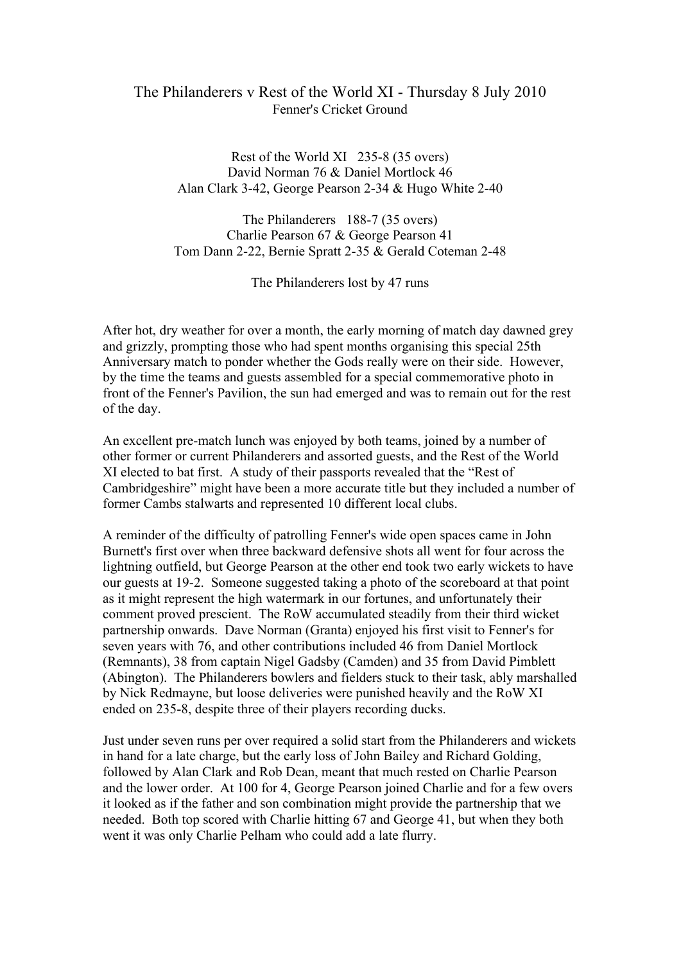## The Philanderers v Rest of the World XI - Thursday 8 July 2010 Fenner's Cricket Ground

Rest of the World XI 235-8 (35 overs) David Norman 76 & Daniel Mortlock 46 Alan Clark 3-42, George Pearson 2-34 & Hugo White 2-40

The Philanderers 188-7 (35 overs) Charlie Pearson 67 & George Pearson 41 Tom Dann 2-22, Bernie Spratt 2-35 & Gerald Coteman 2-48

The Philanderers lost by 47 runs

After hot, dry weather for over a month, the early morning of match day dawned grey and grizzly, prompting those who had spent months organising this special 25th Anniversary match to ponder whether the Gods really were on their side. However, by the time the teams and guests assembled for a special commemorative photo in front of the Fenner's Pavilion, the sun had emerged and was to remain out for the rest of the day.

An excellent pre-match lunch was enjoyed by both teams, joined by a number of other former or current Philanderers and assorted guests, and the Rest of the World XI elected to bat first. A study of their passports revealed that the "Rest of Cambridgeshire" might have been a more accurate title but they included a number of former Cambs stalwarts and represented 10 different local clubs.

A reminder of the difficulty of patrolling Fenner's wide open spaces came in John Burnett's first over when three backward defensive shots all went for four across the lightning outfield, but George Pearson at the other end took two early wickets to have our guests at 19-2. Someone suggested taking a photo of the scoreboard at that point as it might represent the high watermark in our fortunes, and unfortunately their comment proved prescient. The RoW accumulated steadily from their third wicket partnership onwards. Dave Norman (Granta) enjoyed his first visit to Fenner's for seven years with 76, and other contributions included 46 from Daniel Mortlock (Remnants), 38 from captain Nigel Gadsby (Camden) and 35 from David Pimblett (Abington). The Philanderers bowlers and fielders stuck to their task, ably marshalled by Nick Redmayne, but loose deliveries were punished heavily and the RoW XI ended on 235-8, despite three of their players recording ducks.

Just under seven runs per over required a solid start from the Philanderers and wickets in hand for a late charge, but the early loss of John Bailey and Richard Golding, followed by Alan Clark and Rob Dean, meant that much rested on Charlie Pearson and the lower order. At 100 for 4, George Pearson joined Charlie and for a few overs it looked as if the father and son combination might provide the partnership that we needed. Both top scored with Charlie hitting 67 and George 41, but when they both went it was only Charlie Pelham who could add a late flurry.